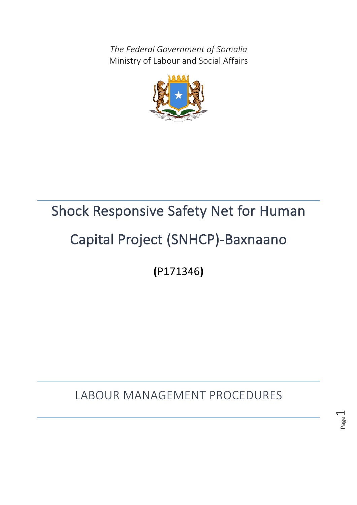*The Federal Government of Somalia* Ministry of Labour and Social Affairs



# Shock Responsive Safety Net for Human

# Capital Project (SNHCP)-Baxnaano

**(**P171346**)** 

LABOUR MANAGEMENT PROCEDURES

Page  $\overline{\phantom{0}}$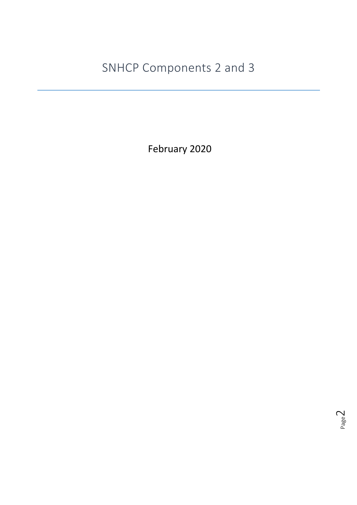SNHCP Components 2 and 3

February 2020

Page بی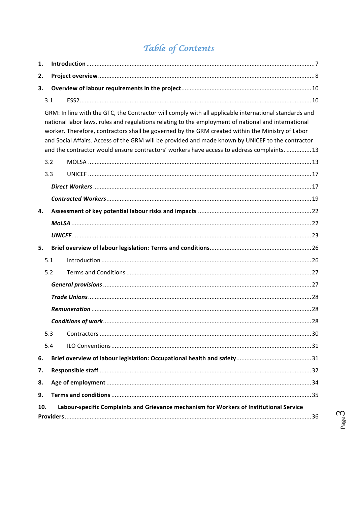# Table of Contents

| 1.                                                                                                                                                                                                                                                                                                                                                                                                                                                                                                                   |     |  |  |  |  |  |
|----------------------------------------------------------------------------------------------------------------------------------------------------------------------------------------------------------------------------------------------------------------------------------------------------------------------------------------------------------------------------------------------------------------------------------------------------------------------------------------------------------------------|-----|--|--|--|--|--|
| 2.                                                                                                                                                                                                                                                                                                                                                                                                                                                                                                                   |     |  |  |  |  |  |
| 3.                                                                                                                                                                                                                                                                                                                                                                                                                                                                                                                   |     |  |  |  |  |  |
|                                                                                                                                                                                                                                                                                                                                                                                                                                                                                                                      | 3.1 |  |  |  |  |  |
| GRM: In line with the GTC, the Contractor will comply with all applicable international standards and<br>national labor laws, rules and regulations relating to the employment of national and international<br>worker. Therefore, contractors shall be governed by the GRM created within the Ministry of Labor<br>and Social Affairs. Access of the GRM will be provided and made known by UNICEF to the contractor<br>and the contractor would ensure contractors' workers have access to address complaints.  13 |     |  |  |  |  |  |
|                                                                                                                                                                                                                                                                                                                                                                                                                                                                                                                      | 3.2 |  |  |  |  |  |
|                                                                                                                                                                                                                                                                                                                                                                                                                                                                                                                      | 3.3 |  |  |  |  |  |
|                                                                                                                                                                                                                                                                                                                                                                                                                                                                                                                      |     |  |  |  |  |  |
|                                                                                                                                                                                                                                                                                                                                                                                                                                                                                                                      |     |  |  |  |  |  |
| 4.                                                                                                                                                                                                                                                                                                                                                                                                                                                                                                                   |     |  |  |  |  |  |
|                                                                                                                                                                                                                                                                                                                                                                                                                                                                                                                      |     |  |  |  |  |  |
|                                                                                                                                                                                                                                                                                                                                                                                                                                                                                                                      |     |  |  |  |  |  |
| 5.                                                                                                                                                                                                                                                                                                                                                                                                                                                                                                                   |     |  |  |  |  |  |
|                                                                                                                                                                                                                                                                                                                                                                                                                                                                                                                      | 5.1 |  |  |  |  |  |
|                                                                                                                                                                                                                                                                                                                                                                                                                                                                                                                      | 5.2 |  |  |  |  |  |
|                                                                                                                                                                                                                                                                                                                                                                                                                                                                                                                      |     |  |  |  |  |  |
|                                                                                                                                                                                                                                                                                                                                                                                                                                                                                                                      |     |  |  |  |  |  |
|                                                                                                                                                                                                                                                                                                                                                                                                                                                                                                                      |     |  |  |  |  |  |
|                                                                                                                                                                                                                                                                                                                                                                                                                                                                                                                      |     |  |  |  |  |  |
|                                                                                                                                                                                                                                                                                                                                                                                                                                                                                                                      | 5.3 |  |  |  |  |  |
|                                                                                                                                                                                                                                                                                                                                                                                                                                                                                                                      | 5.4 |  |  |  |  |  |
| 6.                                                                                                                                                                                                                                                                                                                                                                                                                                                                                                                   |     |  |  |  |  |  |
| 7.                                                                                                                                                                                                                                                                                                                                                                                                                                                                                                                   |     |  |  |  |  |  |
| 8.                                                                                                                                                                                                                                                                                                                                                                                                                                                                                                                   |     |  |  |  |  |  |
| 9.                                                                                                                                                                                                                                                                                                                                                                                                                                                                                                                   |     |  |  |  |  |  |
| Labour-specific Complaints and Grievance mechanism for Workers of Institutional Service<br>10.                                                                                                                                                                                                                                                                                                                                                                                                                       |     |  |  |  |  |  |

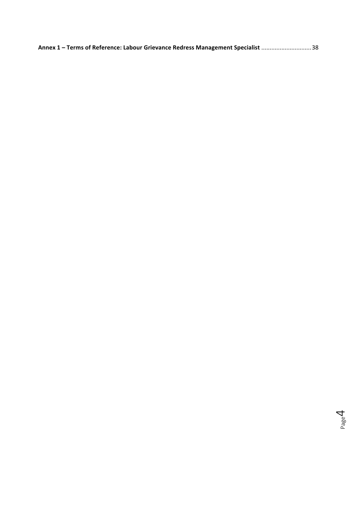| Annex 1 - Terms of Reference: Labour Grievance Redress Management Specialist 38 |  |
|---------------------------------------------------------------------------------|--|
|---------------------------------------------------------------------------------|--|

Page 4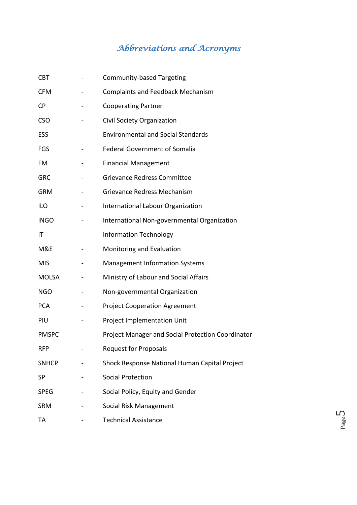# *Abbreviations and Acronyms*

| <b>CBT</b>   | <b>Community-based Targeting</b>                  |
|--------------|---------------------------------------------------|
| <b>CFM</b>   | <b>Complaints and Feedback Mechanism</b>          |
| <b>CP</b>    | <b>Cooperating Partner</b>                        |
| <b>CSO</b>   | Civil Society Organization                        |
| ESS          | <b>Environmental and Social Standards</b>         |
| FGS          | <b>Federal Government of Somalia</b>              |
| <b>FM</b>    | <b>Financial Management</b>                       |
| <b>GRC</b>   | <b>Grievance Redress Committee</b>                |
| <b>GRM</b>   | <b>Grievance Redress Mechanism</b>                |
| <b>ILO</b>   | International Labour Organization                 |
| <b>INGO</b>  | International Non-governmental Organization       |
| IT           | <b>Information Technology</b>                     |
| M&E          | Monitoring and Evaluation                         |
| <b>MIS</b>   | <b>Management Information Systems</b>             |
| <b>MOLSA</b> | Ministry of Labour and Social Affairs             |
| <b>NGO</b>   | Non-governmental Organization                     |
| <b>PCA</b>   | <b>Project Cooperation Agreement</b>              |
| PIU          | Project Implementation Unit                       |
| <b>PMSPC</b> | Project Manager and Social Protection Coordinator |
| <b>RFP</b>   | <b>Request for Proposals</b>                      |
| <b>SNHCP</b> | Shock Response National Human Capital Project     |
| SP           | <b>Social Protection</b>                          |
| <b>SPEG</b>  | Social Policy, Equity and Gender                  |
| <b>SRM</b>   | Social Risk Management                            |
| TA           | <b>Technical Assistance</b>                       |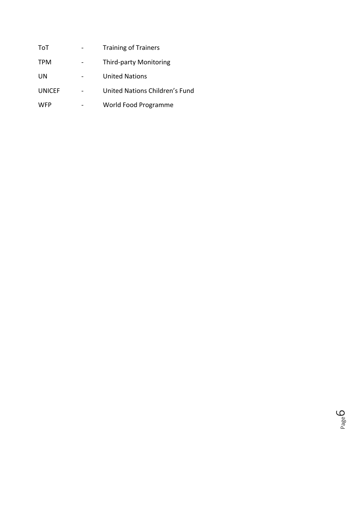| ToT           | <b>Training of Trainers</b>    |
|---------------|--------------------------------|
| <b>TPM</b>    | <b>Third-party Monitoring</b>  |
| <b>UN</b>     | <b>United Nations</b>          |
| <b>UNICEF</b> | United Nations Children's Fund |
| <b>WFP</b>    | World Food Programme           |

Page ي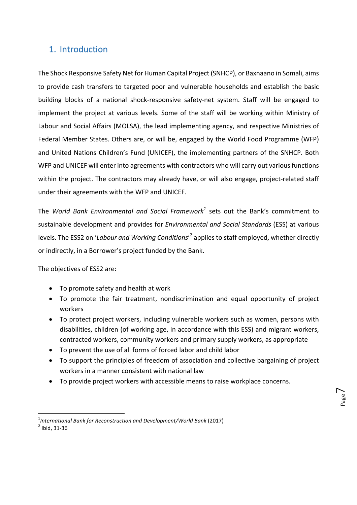### 1. Introduction

The Shock Responsive Safety Net for Human Capital Project (SNHCP), or Baxnaano in Somali, aims to provide cash transfers to targeted poor and vulnerable households and establish the basic building blocks of a national shock-responsive safety-net system. Staff will be engaged to implement the project at various levels. Some of the staff will be working within Ministry of Labour and Social Affairs (MOLSA), the lead implementing agency, and respective Ministries of Federal Member States. Others are, or will be, engaged by the World Food Programme (WFP) and United Nations Children's Fund (UNICEF), the implementing partners of the SNHCP. Both WFP and UNICEF will enter into agreements with contractors who will carry out various functions within the project. The contractors may already have, or will also engage, project-related staff under their agreements with the WFP and UNICEF.

The *World Bank Environmental and Social Framework<sup>1</sup> sets out the Bank's commitment to* sustainable development and provides for *Environmental and Social Standards* (ESS) at various levels. The ESS2 on '*Labour and Working Conditions'*<sup>2</sup> applies to staff employed, whether directly or indirectly, in a Borrower's project funded by the Bank.

The objectives of ESS2 are:

- To promote safety and health at work
- To promote the fair treatment, nondiscrimination and equal opportunity of project workers
- To protect project workers, including vulnerable workers such as women, persons with disabilities, children (of working age, in accordance with this ESS) and migrant workers, contracted workers, community workers and primary supply workers, as appropriate
- To prevent the use of all forms of forced labor and child labor
- To support the principles of freedom of association and collective bargaining of project workers in a manner consistent with national law
- To provide project workers with accessible means to raise workplace concerns.

<u> 1989 - Johann Barn, mars ann an t-Amhain an t-Amhain an t-Amhain an t-Amhain an t-Amhain an t-Amhain an t-Amh</u>

<sup>&</sup>lt;sup>1</sup>International Bank for Reconstruction and Development/World Bank (2017)<br><sup>2</sup> Ibid, 31-36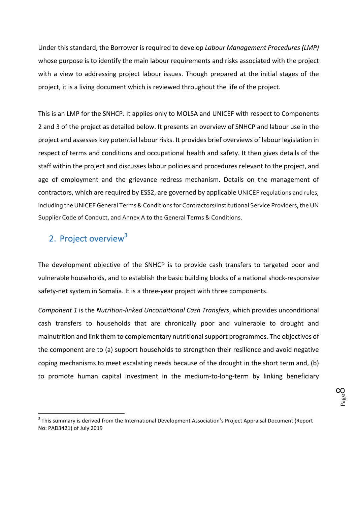Under this standard, the Borrower is required to develop *Labour Management Procedures* (LMP) whose purpose is to identify the main labour requirements and risks associated with the project with a view to addressing project labour issues. Though prepared at the initial stages of the project, it is a living document which is reviewed throughout the life of the project.

This is an LMP for the SNHCP. It applies only to MOLSA and UNICEF with respect to Components 2 and 3 of the project as detailed below. It presents an overview of SNHCP and labour use in the project and assesses key potential labour risks. It provides brief overviews of labour legislation in respect of terms and conditions and occupational health and safety. It then gives details of the staff within the project and discusses labour policies and procedures relevant to the project, and age of employment and the grievance redress mechanism. Details on the management of contractors, which are required by ESS2, are governed by applicable UNICEF requlations and rules, including the UNICEF General Terms & Conditions for Contractors/Institutional Service Providers, the UN Supplier Code of Conduct, and Annex A to the General Terms & Conditions.

# 2. Project overview<sup>3</sup>

<u> 1989 - Johann Barn, mars ann an t-Amhain an t-Amhain an t-Amhain an t-Amhain an t-Amhain an t-Amhain an t-Amh</u>

The development objective of the SNHCP is to provide cash transfers to targeted poor and vulnerable households, and to establish the basic building blocks of a national shock-responsive safety-net system in Somalia. It is a three-year project with three components.

*Component 1* is the *Nutrition-linked Unconditional Cash Transfers*, which provides unconditional cash transfers to households that are chronically poor and vulnerable to drought and malnutrition and link them to complementary nutritional support programmes. The objectives of the component are to (a) support households to strengthen their resilience and avoid negative coping mechanisms to meet escalating needs because of the drought in the short term and, (b) to promote human capital investment in the medium-to-long-term by linking beneficiary

 $3$  This summary is derived from the International Development Association's Project Appraisal Document (Report No: PAD3421) of July 2019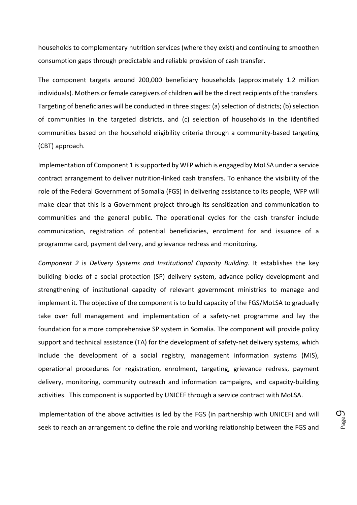households to complementary nutrition services (where they exist) and continuing to smoothen consumption gaps through predictable and reliable provision of cash transfer.

The component targets around 200,000 beneficiary households (approximately 1.2 million individuals). Mothers or female caregivers of children will be the direct recipients of the transfers. Targeting of beneficiaries will be conducted in three stages: (a) selection of districts; (b) selection of communities in the targeted districts, and (c) selection of households in the identified communities based on the household eligibility criteria through a community-based targeting (CBT) approach.

Implementation of Component 1 is supported by WFP which is engaged by MoLSA under a service contract arrangement to deliver nutrition-linked cash transfers. To enhance the visibility of the role of the Federal Government of Somalia (FGS) in delivering assistance to its people, WFP will make clear that this is a Government project through its sensitization and communication to communities and the general public. The operational cycles for the cash transfer include communication, registration of potential beneficiaries, enrolment for and issuance of a programme card, payment delivery, and grievance redress and monitoring.

*Component 2* is *Delivery Systems and Institutional Capacity Building.* It establishes the key building blocks of a social protection (SP) delivery system, advance policy development and strengthening of institutional capacity of relevant government ministries to manage and implement it. The objective of the component is to build capacity of the FGS/MoLSA to gradually take over full management and implementation of a safety-net programme and lay the foundation for a more comprehensive SP system in Somalia. The component will provide policy support and technical assistance (TA) for the development of safety-net delivery systems, which include the development of a social registry, management information systems (MIS), operational procedures for registration, enrolment, targeting, grievance redress, payment delivery, monitoring, community outreach and information campaigns, and capacity-building activities. This component is supported by UNICEF through a service contract with MoLSA.

Implementation of the above activities is led by the FGS (in partnership with UNICEF) and will seek to reach an arrangement to define the role and working relationship between the FGS and

Page ت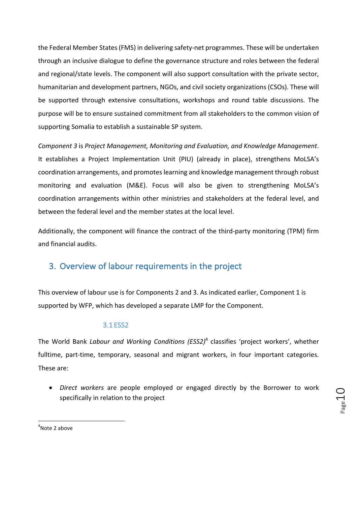the Federal Member States (FMS) in delivering safety-net programmes. These will be undertaken through an inclusive dialogue to define the governance structure and roles between the federal and regional/state levels. The component will also support consultation with the private sector, humanitarian and development partners, NGOs, and civil society organizations (CSOs). These will be supported through extensive consultations, workshops and round table discussions. The purpose will be to ensure sustained commitment from all stakeholders to the common vision of supporting Somalia to establish a sustainable SP system.

*Component 3* is *Project Management, Monitoring and Evaluation, and Knowledge Management.* It establishes a Project Implementation Unit (PIU) (already in place), strengthens MoLSA's coordination arrangements, and promotes learning and knowledge management through robust monitoring and evaluation (M&E). Focus will also be given to strengthening MoLSA's coordination arrangements within other ministries and stakeholders at the federal level, and between the federal level and the member states at the local level.

Additionally, the component will finance the contract of the third-party monitoring (TPM) firm and financial audits.

# 3. Overview of labour requirements in the project

This overview of labour use is for Components 2 and 3. As indicated earlier, Component 1 is supported by WFP, which has developed a separate LMP for the Component.

#### 3.1 ESS2

The World Bank *Labour and Working Conditions (ESS2)<sup>4</sup> classifies 'project workers', whether* fulltime, part-time, temporary, seasonal and migrant workers, in four important categories. These are:

• *Direct workers* are people employed or engaged directly by the Borrower to work specifically in relation to the project

 $\mathsf{L}^\mathsf{age}$ 

  $4$ Note 2 above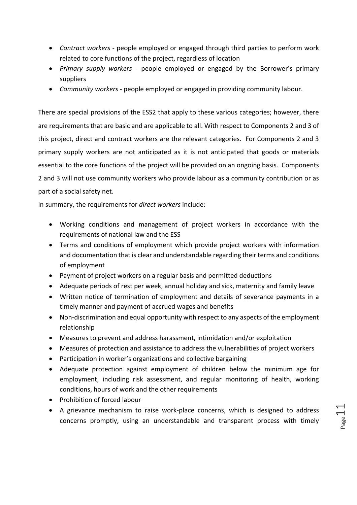- *Contract workers* people employed or engaged through third parties to perform work related to core functions of the project, regardless of location
- *Primary supply workers* people employed or engaged by the Borrower's primary suppliers
- *Community workers* people employed or engaged in providing community labour.

There are special provisions of the ESS2 that apply to these various categories; however, there are requirements that are basic and are applicable to all. With respect to Components 2 and 3 of this project, direct and contract workers are the relevant categories. For Components 2 and 3 primary supply workers are not anticipated as it is not anticipated that goods or materials essential to the core functions of the project will be provided on an ongoing basis. Components 2 and 3 will not use community workers who provide labour as a community contribution or as part of a social safety net.

In summary, the requirements for *direct workers* include:

- Working conditions and management of project workers in accordance with the requirements of national law and the ESS
- Terms and conditions of employment which provide project workers with information and documentation that is clear and understandable regarding their terms and conditions of employment
- Payment of project workers on a regular basis and permitted deductions
- Adequate periods of rest per week, annual holiday and sick, maternity and family leave
- Written notice of termination of employment and details of severance payments in a timely manner and payment of accrued wages and benefits
- Non-discrimination and equal opportunity with respect to any aspects of the employment relationship
- Measures to prevent and address harassment, intimidation and/or exploitation
- Measures of protection and assistance to address the vulnerabilities of project workers
- Participation in worker's organizations and collective bargaining
- Adequate protection against employment of children below the minimum age for employment, including risk assessment, and regular monitoring of health, working conditions, hours of work and the other requirements
- Prohibition of forced labour
- A grievance mechanism to raise work-place concerns, which is designed to address concerns promptly, using an understandable and transparent process with timely

 $P$ age $\perp 1$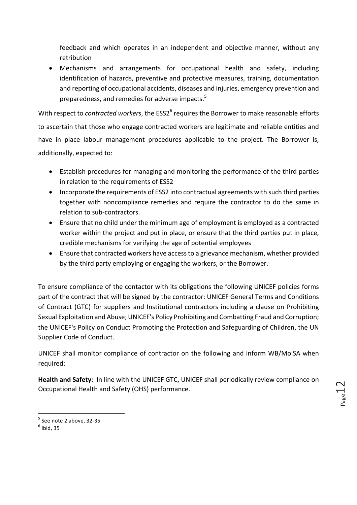feedback and which operates in an independent and objective manner, without any retribution

• Mechanisms and arrangements for occupational health and safety, including identification of hazards, preventive and protective measures, training, documentation and reporting of occupational accidents, diseases and injuries, emergency prevention and preparedness, and remedies for adverse impacts.<sup>5</sup>

With respect to *contracted workers*, the ESS2<sup>6</sup> requires the Borrower to make reasonable efforts to ascertain that those who engage contracted workers are legitimate and reliable entities and have in place labour management procedures applicable to the project. The Borrower is, additionally, expected to:

- Establish procedures for managing and monitoring the performance of the third parties in relation to the requirements of ESS2
- Incorporate the requirements of ESS2 into contractual agreements with such third parties together with noncompliance remedies and require the contractor to do the same in relation to sub-contractors.
- Ensure that no child under the minimum age of employment is employed as a contracted worker within the project and put in place, or ensure that the third parties put in place, credible mechanisms for verifying the age of potential employees
- Ensure that contracted workers have access to a grievance mechanism, whether provided by the third party employing or engaging the workers, or the Borrower.

To ensure compliance of the contactor with its obligations the following UNICEF policies forms part of the contract that will be signed by the contractor: UNICEF General Terms and Conditions of Contract (GTC) for suppliers and Institutional contractors including a clause on Prohibiting Sexual Exploitation and Abuse; UNICEF's Policy Prohibiting and Combatting Fraud and Corruption; the UNICEF's Policy on Conduct Promoting the Protection and Safeguarding of Children, the UN Supplier Code of Conduct.

UNICEF shall monitor compliance of contractor on the following and inform WB/MolSA when required: 

Health and Safety: In line with the UNICEF GTC, UNICEF shall periodically review compliance on Occupational Health and Safety (OHS) performance.

<u> 1989 - Johann Barn, mars ann an t-Amhain an t-Amhain an t-Amhain an t-Amhain an t-Amhain an t-Amhain an t-Amh</u>

 $<sup>5</sup>$  See note 2 above, 32-35  $<sup>6</sup>$  Ibid. 35</sup></sup>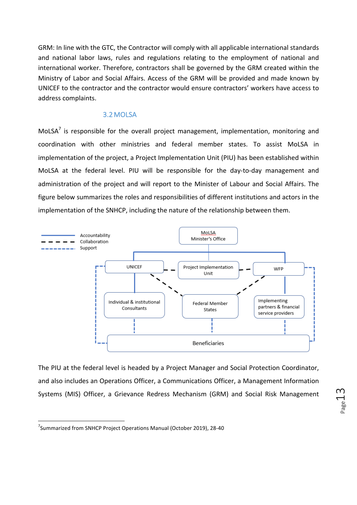GRM: In line with the GTC, the Contractor will comply with all applicable international standards and national labor laws, rules and regulations relating to the employment of national and international worker. Therefore, contractors shall be governed by the GRM created within the Ministry of Labor and Social Affairs. Access of the GRM will be provided and made known by UNICEF to the contractor and the contractor would ensure contractors' workers have access to address complaints.

#### 3.2MOLSA

MoLSA<sup>7</sup> is responsible for the overall project management, implementation, monitoring and coordination with other ministries and federal member states. To assist MoLSA in implementation of the project, a Project Implementation Unit (PIU) has been established within MoLSA at the federal level. PIU will be responsible for the day-to-day management and administration of the project and will report to the Minister of Labour and Social Affairs. The figure below summarizes the roles and responsibilities of different institutions and actors in the implementation of the SNHCP, including the nature of the relationship between them.



The PIU at the federal level is headed by a Project Manager and Social Protection Coordinator, and also includes an Operations Officer, a Communications Officer, a Management Information Systems (MIS) Officer, a Grievance Redress Mechanism (GRM) and Social Risk Management

 

 $^7$ Summarized from SNHCP Project Operations Manual (October 2019), 28-40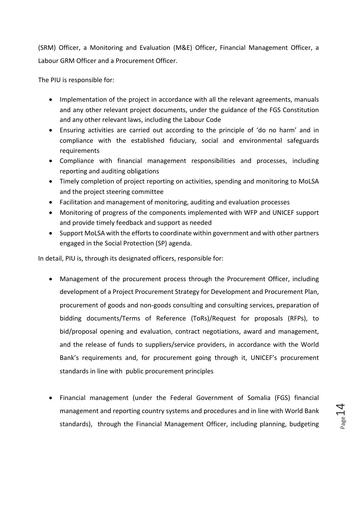(SRM) Officer, a Monitoring and Evaluation (M&E) Officer, Financial Management Officer, a Labour GRM Officer and a Procurement Officer.

The PIU is responsible for:

- Implementation of the project in accordance with all the relevant agreements, manuals and any other relevant project documents, under the guidance of the FGS Constitution and any other relevant laws, including the Labour Code
- Ensuring activities are carried out according to the principle of 'do no harm' and in compliance with the established fiduciary, social and environmental safeguards requirements
- Compliance with financial management responsibilities and processes, including reporting and auditing obligations
- Timely completion of project reporting on activities, spending and monitoring to MoLSA and the project steering committee
- Facilitation and management of monitoring, auditing and evaluation processes
- Monitoring of progress of the components implemented with WFP and UNICEF support and provide timely feedback and support as needed
- Support MoLSA with the efforts to coordinate within government and with other partners engaged in the Social Protection (SP) agenda.

In detail, PIU is, through its designated officers, responsible for:

- Management of the procurement process through the Procurement Officer, including development of a Project Procurement Strategy for Development and Procurement Plan, procurement of goods and non-goods consulting and consulting services, preparation of bidding documents/Terms of Reference (ToRs)/Request for proposals (RFPs), to bid/proposal opening and evaluation, contract negotiations, award and management, and the release of funds to suppliers/service providers, in accordance with the World Bank's requirements and, for procurement going through it, UNICEF's procurement standards in line with public procurement principles
- Financial management (under the Federal Government of Somalia (FGS) financial management and reporting country systems and procedures and in line with World Bank standards), through the Financial Management Officer, including planning, budgeting

 $P_{\text{age}}14$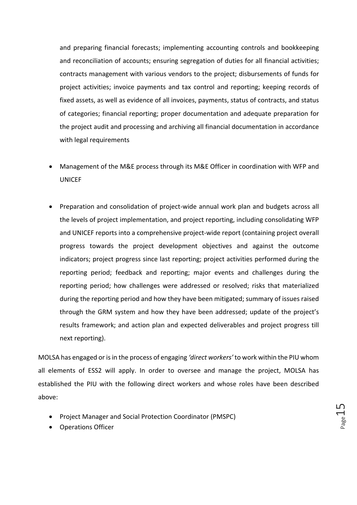and preparing financial forecasts; implementing accounting controls and bookkeeping and reconciliation of accounts; ensuring segregation of duties for all financial activities; contracts management with various vendors to the project; disbursements of funds for project activities; invoice payments and tax control and reporting; keeping records of fixed assets, as well as evidence of all invoices, payments, status of contracts, and status of categories; financial reporting; proper documentation and adequate preparation for the project audit and processing and archiving all financial documentation in accordance with legal requirements

- Management of the M&E process through its M&E Officer in coordination with WFP and UNICEF
- Preparation and consolidation of project-wide annual work plan and budgets across all the levels of project implementation, and project reporting, including consolidating WFP and UNICEF reports into a comprehensive project-wide report (containing project overall progress towards the project development objectives and against the outcome indicators; project progress since last reporting; project activities performed during the reporting period; feedback and reporting; major events and challenges during the reporting period; how challenges were addressed or resolved; risks that materialized during the reporting period and how they have been mitigated; summary of issues raised through the GRM system and how they have been addressed; update of the project's results framework; and action plan and expected deliverables and project progress till next reporting).

MOLSA has engaged or is in the process of engaging 'direct workers' to work within the PIU whom all elements of ESS2 will apply. In order to oversee and manage the project, MOLSA has established the PIU with the following direct workers and whose roles have been described above:

- Project Manager and Social Protection Coordinator (PMSPC)
- Operations Officer

Page15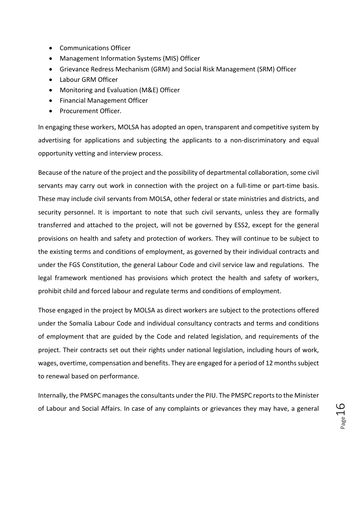- Communications Officer
- Management Information Systems (MIS) Officer
- Grievance Redress Mechanism (GRM) and Social Risk Management (SRM) Officer
- Labour GRM Officer
- Monitoring and Evaluation (M&E) Officer
- Financial Management Officer
- Procurement Officer.

In engaging these workers, MOLSA has adopted an open, transparent and competitive system by advertising for applications and subjecting the applicants to a non-discriminatory and equal opportunity vetting and interview process.

Because of the nature of the project and the possibility of departmental collaboration, some civil servants may carry out work in connection with the project on a full-time or part-time basis. These may include civil servants from MOLSA, other federal or state ministries and districts, and security personnel. It is important to note that such civil servants, unless they are formally transferred and attached to the project, will not be governed by ESS2, except for the general provisions on health and safety and protection of workers. They will continue to be subject to the existing terms and conditions of employment, as governed by their individual contracts and under the FGS Constitution, the general Labour Code and civil service law and regulations. The legal framework mentioned has provisions which protect the health and safety of workers, prohibit child and forced labour and regulate terms and conditions of employment.

Those engaged in the project by MOLSA as direct workers are subject to the protections offered under the Somalia Labour Code and individual consultancy contracts and terms and conditions of employment that are guided by the Code and related legislation, and requirements of the project. Their contracts set out their rights under national legislation, including hours of work, wages, overtime, compensation and benefits. They are engaged for a period of 12 months subject to renewal based on performance.

Internally, the PMSPC manages the consultants under the PIU. The PMSPC reports to the Minister of Labour and Social Affairs. In case of any complaints or grievances they may have, a general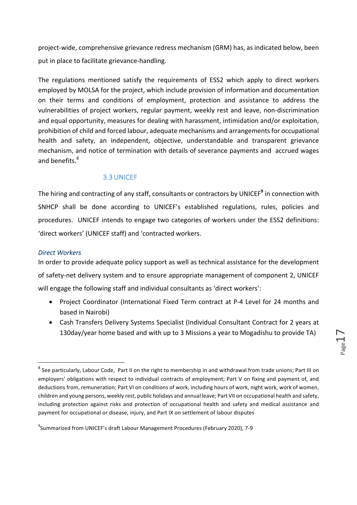project-wide, comprehensive grievance redress mechanism (GRM) has, as indicated below, been put in place to facilitate grievance-handling.

The regulations mentioned satisfy the requirements of ESS2 which apply to direct workers employed by MOLSA for the project, which include provision of information and documentation on their terms and conditions of employment, protection and assistance to address the vulnerabilities of project workers, regular payment, weekly rest and leave, non-discrimination and equal opportunity, measures for dealing with harassment, intimidation and/or exploitation, prohibition of child and forced labour, adequate mechanisms and arrangements for occupational health and safety, an independent, objective, understandable and transparent grievance mechanism, and notice of termination with details of severance payments and accrued wages and benefits.<sup>8</sup>

#### 3.3UNICEF

The hiring and contracting of any staff, consultants or contractors by UNICEF<sup>9</sup> in connection with SNHCP shall be done according to UNICEF's established regulations, rules, policies and procedures. UNICEF intends to engage two categories of workers under the ESS2 definitions: 'direct workers' (UNICEF staff) and 'contracted workers.

#### *Direct Workers*

<u> 1989 - Johann Barn, mars ann an t-Amhain an t-Amhain an t-Amhain an t-Amhain an t-Amhain an t-Amhain an t-Amh</u>

In order to provide adequate policy support as well as technical assistance for the development of safety-net delivery system and to ensure appropriate management of component 2, UNICEF will engage the following staff and individual consultants as 'direct workers':

- Project Coordinator (International Fixed Term contract at P-4 Level for 24 months and based in Nairobi)
- Cash Transfers Delivery Systems Specialist (Individual Consultant Contract for 2 years at 130day/year home based and with up to 3 Missions a year to Mogadishu to provide TA)

Page 1

 $^8$  See particularly, Labour Code, Part II on the right to membership in and withdrawal from trade unions; Part III on employers' obligations with respect to individual contracts of employment; Part V on fixing and payment of, and deductions from, remuneration; Part VI on conditions of work, including hours of work, night work, work of women, children and young persons, weekly rest, public holidays and annual leave; Part VII on occupational health and safety, including protection against risks and protection of occupational health and safety and medical assistance and payment for occupational or disease, injury, and Part IX on settlement of labour disputes

 $^9$ Summarized from UNICEF's draft Labour Management Procedures (February 2020), 7-9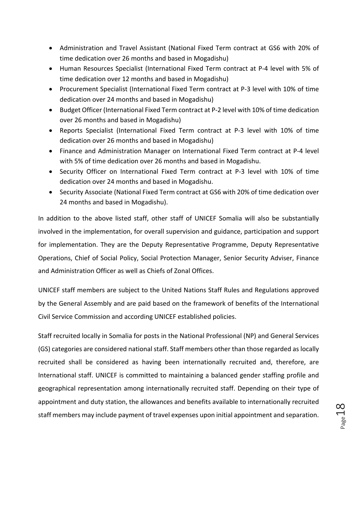- Administration and Travel Assistant (National Fixed Term contract at GS6 with 20% of time dedication over 26 months and based in Mogadishu)
- Human Resources Specialist (International Fixed Term contract at P-4 level with 5% of time dedication over 12 months and based in Mogadishu)
- Procurement Specialist (International Fixed Term contract at P-3 level with 10% of time dedication over 24 months and based in Mogadishu)
- Budget Officer (International Fixed Term contract at P-2 level with 10% of time dedication over 26 months and based in Mogadishu)
- Reports Specialist (International Fixed Term contract at P-3 level with 10% of time dedication over 26 months and based in Mogadishu)
- Finance and Administration Manager on International Fixed Term contract at P-4 level with 5% of time dedication over 26 months and based in Mogadishu.
- Security Officer on International Fixed Term contract at P-3 level with 10% of time dedication over 24 months and based in Mogadishu.
- Security Associate (National Fixed Term contract at GS6 with 20% of time dedication over 24 months and based in Mogadishu).

In addition to the above listed staff, other staff of UNICEF Somalia will also be substantially involved in the implementation, for overall supervision and guidance, participation and support for implementation. They are the Deputy Representative Programme, Deputy Representative Operations, Chief of Social Policy, Social Protection Manager, Senior Security Adviser, Finance and Administration Officer as well as Chiefs of Zonal Offices.

UNICEF staff members are subject to the United Nations Staff Rules and Regulations approved by the General Assembly and are paid based on the framework of benefits of the International Civil Service Commission and according UNICEF established policies.

Staff recruited locally in Somalia for posts in the National Professional (NP) and General Services (GS) categories are considered national staff. Staff members other than those regarded as locally recruited shall be considered as having been internationally recruited and, therefore, are International staff. UNICEF is committed to maintaining a balanced gender staffing profile and geographical representation among internationally recruited staff. Depending on their type of appointment and duty station, the allowances and benefits available to internationally recruited staff members may include payment of travel expenses upon initial appointment and separation.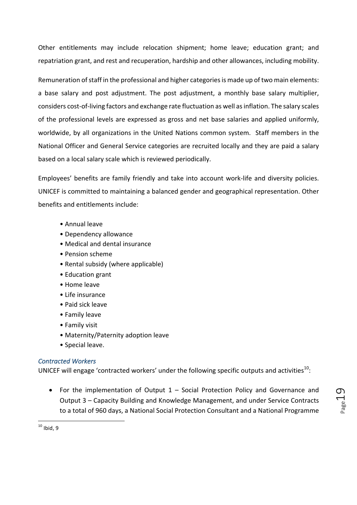Other entitlements may include relocation shipment; home leave; education grant; and repatriation grant, and rest and recuperation, hardship and other allowances, including mobility.

Remuneration of staff in the professional and higher categories is made up of two main elements: a base salary and post adjustment. The post adjustment, a monthly base salary multiplier, considers cost-of-living factors and exchange rate fluctuation as well as inflation. The salary scales of the professional levels are expressed as gross and net base salaries and applied uniformly, worldwide, by all organizations in the United Nations common system. Staff members in the National Officer and General Service categories are recruited locally and they are paid a salary based on a local salary scale which is reviewed periodically.

Employees' benefits are family friendly and take into account work-life and diversity policies. UNICEF is committed to maintaining a balanced gender and geographical representation. Other benefits and entitlements include:

- Annual leave
- Dependency allowance
- Medical and dental insurance
- Pension scheme
- Rental subsidy (where applicable)
- Education grant
- Home leave
- $\bullet$  Life insurance
- Paid sick leave
- Family leave
- Family visit
- Maternity/Paternity adoption leave
- Special leave.

#### *Contracted Workers*

UNICEF will engage 'contracted workers' under the following specific outputs and activities<sup>10</sup>:

• For the implementation of Output  $1$  – Social Protection Policy and Governance and Output 3 – Capacity Building and Knowledge Management, and under Service Contracts to a total of 960 days, a National Social Protection Consultant and a National Programme Page 19

  $10$  Ibid, 9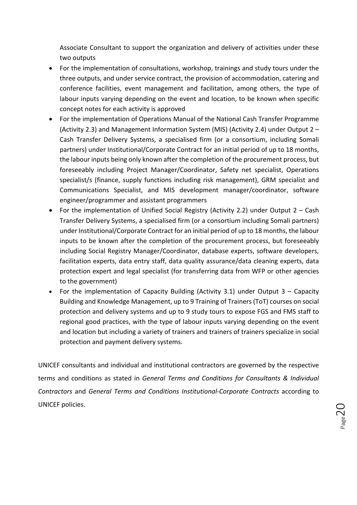Associate Consultant to support the organization and delivery of activities under these two outputs

- For the implementation of consultations, workshop, trainings and study tours under the three outputs, and under service contract, the provision of accommodation, catering and conference facilities, event management and facilitation, among others, the type of labour inputs varying depending on the event and location, to be known when specific concept notes for each activity is approved
- For the implementation of Operations Manual of the National Cash Transfer Programme (Activity 2.3) and Management Information System (MIS) (Activity 2.4) under Output  $2 -$ Cash Transfer Delivery Systems, a specialised firm (or a consortium, including Somali partners) under Institutional/Corporate Contract for an initial period of up to 18 months, the labour inputs being only known after the completion of the procurement process, but foreseeably including Project Manager/Coordinator, Safety net specialist, Operations specialist/s (finance, supply functions including risk management), GRM specialist and Communications Specialist, and MIS development manager/coordinator, software engineer/programmer and assistant programmers
- For the implementation of Unified Social Registry (Activity 2.2) under Output  $2 -$  Cash Transfer Delivery Systems, a specialised firm (or a consortium including Somali partners) under Institutional/Corporate Contract for an initial period of up to 18 months, the labour inputs to be known after the completion of the procurement process, but foreseeably including Social Registry Manager/Coordinator, database experts, software developers, facilitation experts, data entry staff, data quality assurance/data cleaning experts, data protection expert and legal specialist (for transferring data from WFP or other agencies to the government)
- For the implementation of Capacity Building (Activity 3.1) under Output  $3 -$  Capacity Building and Knowledge Management, up to 9 Training of Trainers (ToT) courses on social protection and delivery systems and up to 9 study tours to expose FGS and FMS staff to regional good practices, with the type of labour inputs varying depending on the event and location but including a variety of trainers and trainers of trainers specialize in social protection and payment delivery systems.

UNICEF consultants and individual and institutional contractors are governed by the respective terms and conditions as stated in *General Terms and Conditions for Consultants & Individual Contractors* and *General Terms and Conditions Institutional-Corporate Contracts* according to UNICEF policies.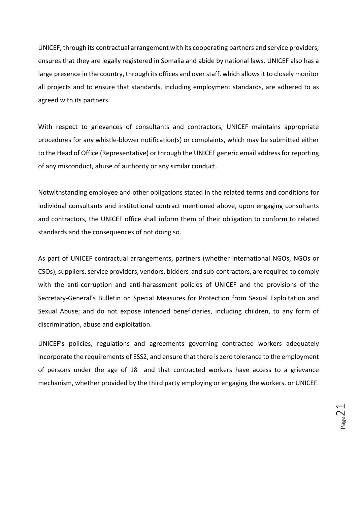UNICEF, through its contractual arrangement with its cooperating partners and service providers, ensures that they are legally registered in Somalia and abide by national laws. UNICEF also has a large presence in the country, through its offices and over staff, which allows it to closely monitor all projects and to ensure that standards, including employment standards, are adhered to as agreed with its partners.

With respect to grievances of consultants and contractors, UNICEF maintains appropriate procedures for any whistle-blower notification(s) or complaints, which may be submitted either to the Head of Office (Representative) or through the UNICEF generic email address for reporting of any misconduct, abuse of authority or any similar conduct.

Notwithstanding employee and other obligations stated in the related terms and conditions for individual consultants and institutional contract mentioned above, upon engaging consultants and contractors, the UNICEF office shall inform them of their obligation to conform to related standards and the consequences of not doing so.

As part of UNICEF contractual arrangements, partners (whether international NGOs, NGOs or CSOs), suppliers, service providers, vendors, bidders and sub-contractors, are required to comply with the anti-corruption and anti-harassment policies of UNICEF and the provisions of the Secretary-General's Bulletin on Special Measures for Protection from Sexual Exploitation and Sexual Abuse; and do not expose intended beneficiaries, including children, to any form of discrimination, abuse and exploitation.

UNICEF's policies, regulations and agreements governing contracted workers adequately incorporate the requirements of ESS2, and ensure that there is zero tolerance to the employment of persons under the age of 18 and that contracted workers have access to a grievance mechanism, whether provided by the third party employing or engaging the workers, or UNICEF.

Page $21$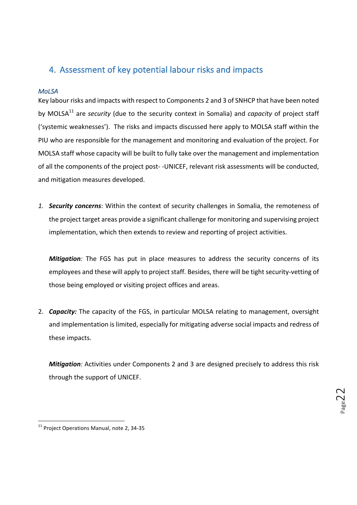## 4. Assessment of key potential labour risks and impacts

#### *MoLSA*

Key labour risks and impacts with respect to Components 2 and 3 of SNHCP that have been noted by MOLSA<sup>11</sup> are *security* (due to the security context in Somalia) and *capacity* of project staff ('systemic weaknesses'). The risks and impacts discussed here apply to MOLSA staff within the PIU who are responsible for the management and monitoring and evaluation of the project. For MOLSA staff whose capacity will be built to fully take over the management and implementation of all the components of the project post--UNICEF, relevant risk assessments will be conducted, and mitigation measures developed.

1. **Security concerns**: Within the context of security challenges in Somalia, the remoteness of the project target areas provide a significant challenge for monitoring and supervising project implementation, which then extends to review and reporting of project activities.

*Mitigation:* The FGS has put in place measures to address the security concerns of its employees and these will apply to project staff. Besides, there will be tight security-vetting of those being employed or visiting project offices and areas.

2. **Capacity:** The capacity of the FGS, in particular MOLSA relating to management, oversight and implementation is limited, especially for mitigating adverse social impacts and redress of these impacts.

*Mitigation:* Activities under Components 2 and 3 are designed precisely to address this risk through the support of UNICEF.

 

 $11$  Project Operations Manual, note 2, 34-35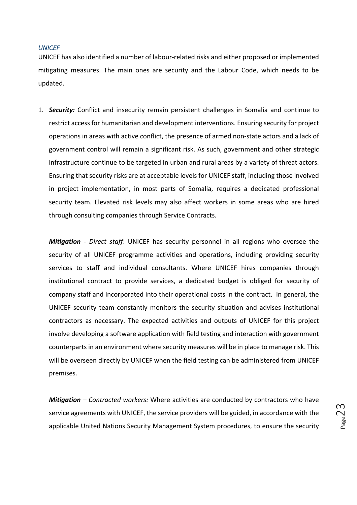#### *UNICEF*

UNICEF has also identified a number of labour-related risks and either proposed or implemented mitigating measures. The main ones are security and the Labour Code, which needs to be updated.

1. **Security:** Conflict and insecurity remain persistent challenges in Somalia and continue to restrict access for humanitarian and development interventions. Ensuring security for project operations in areas with active conflict, the presence of armed non-state actors and a lack of government control will remain a significant risk. As such, government and other strategic infrastructure continue to be targeted in urban and rural areas by a variety of threat actors. Ensuring that security risks are at acceptable levels for UNICEF staff, including those involved in project implementation, in most parts of Somalia, requires a dedicated professional security team. Elevated risk levels may also affect workers in some areas who are hired through consulting companies through Service Contracts.

*Mitigation - Direct staff: UNICEF has security personnel in all regions who oversee the* security of all UNICEF programme activities and operations, including providing security services to staff and individual consultants. Where UNICEF hires companies through institutional contract to provide services, a dedicated budget is obliged for security of company staff and incorporated into their operational costs in the contract. In general, the UNICEF security team constantly monitors the security situation and advises institutional contractors as necessary. The expected activities and outputs of UNICEF for this project involve developing a software application with field testing and interaction with government counterparts in an environment where security measures will be in place to manage risk. This will be overseen directly by UNICEF when the field testing can be administered from UNICEF premises.

*Mitigation – Contracted workers:* Where activities are conducted by contractors who have service agreements with UNICEF, the service providers will be guided, in accordance with the applicable United Nations Security Management System procedures, to ensure the security

 $P$ age $2$ 3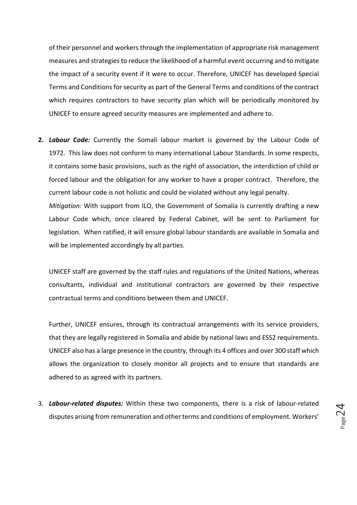of their personnel and workers through the implementation of appropriate risk management measures and strategies to reduce the likelihood of a harmful event occurring and to mitigate the impact of a security event if it were to occur. Therefore, UNICEF has developed Special Terms and Conditions for security as part of the General Terms and conditions of the contract which requires contractors to have security plan which will be periodically monitored by UNICEF to ensure agreed security measures are implemented and adhere to.

**2. Labour Code:** Currently the Somali labour market is governed by the Labour Code of 1972. This law does not conform to many international Labour Standards. In some respects, it contains some basic provisions, such as the right of association, the interdiction of child or forced labour and the obligation for any worker to have a proper contract. Therefore, the current labour code is not holistic and could be violated without any legal penalty. *Mitigation:* With support from ILO, the Government of Somalia is currently drafting a new Labour Code which, once cleared by Federal Cabinet, will be sent to Parliament for legislation. When ratified, it will ensure global labour standards are available in Somalia and will be implemented accordingly by all parties.

UNICEF staff are governed by the staff rules and regulations of the United Nations, whereas consultants, individual and institutional contractors are governed by their respective contractual terms and conditions between them and UNICEF.

Further, UNICEF ensures, through its contractual arrangements with its service providers, that they are legally registered in Somalia and abide by national laws and ESS2 requirements. UNICEF also has a large presence in the country, through its 4 offices and over 300 staff which allows the organization to closely monitor all projects and to ensure that standards are adhered to as agreed with its partners.

3. Labour-related disputes: Within these two components, there is a risk of labour-related disputes arising from remuneration and other terms and conditions of employment. Workers'

Page $24$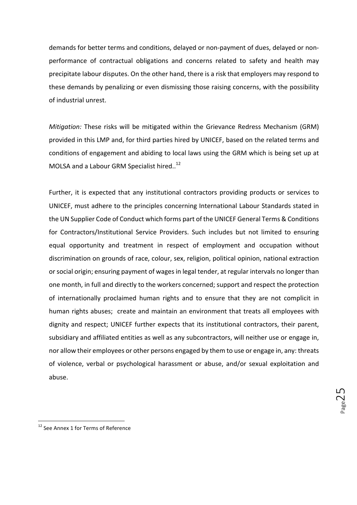demands for better terms and conditions, delayed or non-payment of dues, delayed or nonperformance of contractual obligations and concerns related to safety and health may precipitate labour disputes. On the other hand, there is a risk that employers may respond to these demands by penalizing or even dismissing those raising concerns, with the possibility of industrial unrest.

*Mitigation:* These risks will be mitigated within the Grievance Redress Mechanism (GRM) provided in this LMP and, for third parties hired by UNICEF, based on the related terms and conditions of engagement and abiding to local laws using the GRM which is being set up at MOLSA and a Labour GRM Specialist hired..<sup>12</sup>

Further, it is expected that any institutional contractors providing products or services to UNICEF, must adhere to the principles concerning International Labour Standards stated in the UN Supplier Code of Conduct which forms part of the UNICEF General Terms & Conditions for Contractors/Institutional Service Providers. Such includes but not limited to ensuring equal opportunity and treatment in respect of employment and occupation without discrimination on grounds of race, colour, sex, religion, political opinion, national extraction or social origin; ensuring payment of wages in legal tender, at regular intervals no longer than one month, in full and directly to the workers concerned; support and respect the protection of internationally proclaimed human rights and to ensure that they are not complicit in human rights abuses; create and maintain an environment that treats all employees with dignity and respect; UNICEF further expects that its institutional contractors, their parent, subsidiary and affiliated entities as well as any subcontractors, will neither use or engage in, nor allow their employees or other persons engaged by them to use or engage in, any: threats of violence, verbal or psychological harassment or abuse, and/or sexual exploitation and abuse.

 <sup>12</sup> See Annex 1 for Terms of Reference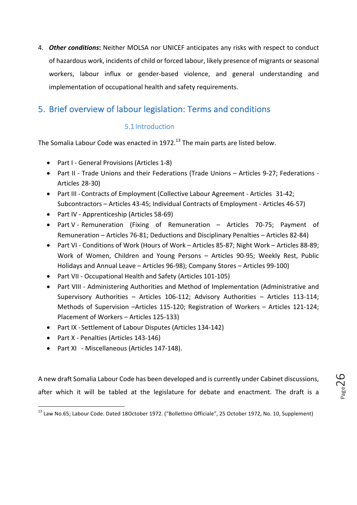4. Other conditions: Neither MOLSA nor UNICEF anticipates any risks with respect to conduct of hazardous work, incidents of child or forced labour, likely presence of migrants or seasonal workers, labour influx or gender-based violence, and general understanding and implementation of occupational health and safety requirements.

# 5. Brief overview of labour legislation: Terms and conditions

#### 5.1 Introduction

The Somalia Labour Code was enacted in 1972.<sup>13</sup> The main parts are listed below.

- Part I General Provisions (Articles 1-8)
- Part II Trade Unions and their Federations (Trade Unions Articles 9-27; Federations -Articles 28-30)
- Part III Contracts of Employment (Collective Labour Agreement Articles 31-42; Subcontractors - Articles 43-45; Individual Contracts of Employment - Articles 46-57)
- Part IV Apprenticeship (Articles 58-69)
- Part V Remuneration (Fixing of Remuneration Articles 70-75; Payment of Remuneration – Articles 76-81; Deductions and Disciplinary Penalties – Articles 82-84)
- Part VI Conditions of Work (Hours of Work Articles 85-87; Night Work Articles 88-89; Work of Women, Children and Young Persons - Articles 90-95; Weekly Rest, Public Holidays and Annual Leave - Articles 96-98); Company Stores - Articles 99-100)
- Part VII Occupational Health and Safety (Articles 101-105)
- Part VIII Administering Authorities and Method of Implementation (Administrative and Supervisory Authorities  $-$  Articles 106-112; Advisory Authorities  $-$  Articles 113-114; Methods of Supervision -Articles 115-120; Registration of Workers - Articles 121-124; Placement of Workers - Articles 125-133)
- Part IX Settlement of Labour Disputes (Articles 134-142)
- Part X Penalties (Articles 143-146)

 

• Part XI - Miscellaneous (Articles 147-148).

A new draft Somalia Labour Code has been developed and is currently under Cabinet discussions, after which it will be tabled at the legislature for debate and enactment. The draft is a

Page26

<sup>&</sup>lt;sup>13</sup> Law No.65; Labour Code. Dated 18October 1972. ("Bollettino Officiale", 25 October 1972, No. 10, Supplement)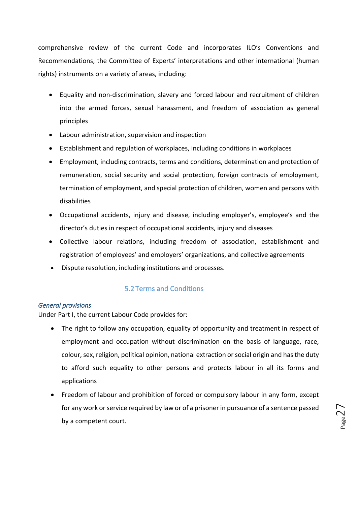comprehensive review of the current Code and incorporates ILO's Conventions and Recommendations, the Committee of Experts' interpretations and other international (human rights) instruments on a variety of areas, including:

- Equality and non-discrimination, slavery and forced labour and recruitment of children into the armed forces, sexual harassment, and freedom of association as general principles
- Labour administration, supervision and inspection
- Establishment and regulation of workplaces, including conditions in workplaces
- Employment, including contracts, terms and conditions, determination and protection of remuneration, social security and social protection, foreign contracts of employment, termination of employment, and special protection of children, women and persons with disabilities
- Occupational accidents, injury and disease, including employer's, employee's and the director's duties in respect of occupational accidents, injury and diseases
- Collective labour relations, including freedom of association, establishment and registration of employees' and employers' organizations, and collective agreements
- Dispute resolution, including institutions and processes.

#### 5.2 Terms and Conditions

#### General *provisions*

Under Part I, the current Labour Code provides for:

- The right to follow any occupation, equality of opportunity and treatment in respect of employment and occupation without discrimination on the basis of language, race, colour, sex, religion, political opinion, national extraction or social origin and has the duty to afford such equality to other persons and protects labour in all its forms and applications
- Freedom of labour and prohibition of forced or compulsory labour in any form, except for any work or service required by law or of a prisoner in pursuance of a sentence passed by a competent court.

Page<sup>2</sup>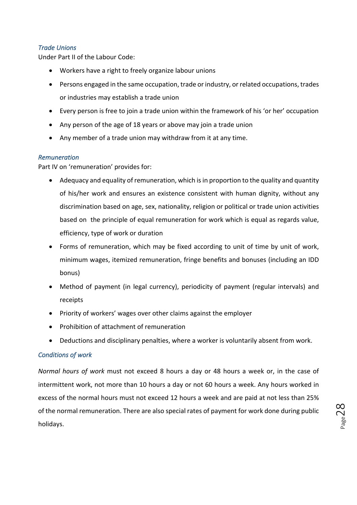#### *Trade Unions*

Under Part II of the Labour Code:

- Workers have a right to freely organize labour unions
- Persons engaged in the same occupation, trade or industry, or related occupations, trades or industries may establish a trade union
- Every person is free to join a trade union within the framework of his 'or her' occupation
- Any person of the age of 18 years or above may join a trade union
- Any member of a trade union may withdraw from it at any time.

#### *Remuneration*

Part IV on 'remuneration' provides for:

- Adequacy and equality of remuneration, which is in proportion to the quality and quantity of his/her work and ensures an existence consistent with human dignity, without any discrimination based on age, sex, nationality, religion or political or trade union activities based on the principle of equal remuneration for work which is equal as regards value, efficiency, type of work or duration
- Forms of remuneration, which may be fixed according to unit of time by unit of work, minimum wages, itemized remuneration, fringe benefits and bonuses (including an IDD bonus)
- Method of payment (in legal currency), periodicity of payment (regular intervals) and receipts
- Priority of workers' wages over other claims against the employer
- Prohibition of attachment of remuneration
- Deductions and disciplinary penalties, where a worker is voluntarily absent from work.

#### *Conditions of work*

*Normal hours of work* must not exceed 8 hours a day or 48 hours a week or, in the case of intermittent work, not more than 10 hours a day or not 60 hours a week. Any hours worked in excess of the normal hours must not exceed 12 hours a week and are paid at not less than 25% of the normal remuneration. There are also special rates of payment for work done during public holidays.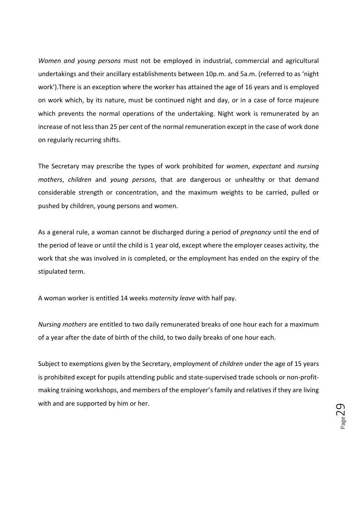*Women and young persons* must not be employed in industrial, commercial and agricultural undertakings and their ancillary establishments between 10p.m. and 5a.m. (referred to as 'night work'). There is an exception where the worker has attained the age of 16 years and is employed on work which, by its nature, must be continued night and day, or in a case of force majeure which prevents the normal operations of the undertaking. Night work is remunerated by an increase of not less than 25 per cent of the normal remuneration except in the case of work done on regularly recurring shifts.

The Secretary may prescribe the types of work prohibited for *women*, *expectant* and *nursing mothers*, *children* and *young persons*, that are dangerous or unhealthy or that demand considerable strength or concentration, and the maximum weights to be carried, pulled or pushed by children, young persons and women.

As a general rule, a woman cannot be discharged during a period of *pregnancy* until the end of the period of leave or until the child is 1 year old, except where the employer ceases activity, the work that she was involved in is completed, or the employment has ended on the expiry of the stipulated term.

A woman worker is entitled 14 weeks *maternity leave* with half pay.

*Nursing mothers* are entitled to two daily remunerated breaks of one hour each for a maximum of a year after the date of birth of the child, to two daily breaks of one hour each.

Subject to exemptions given by the Secretary, employment of *children* under the age of 15 years is prohibited except for pupils attending public and state-supervised trade schools or non-profitmaking training workshops, and members of the employer's family and relatives if they are living with and are supported by him or her.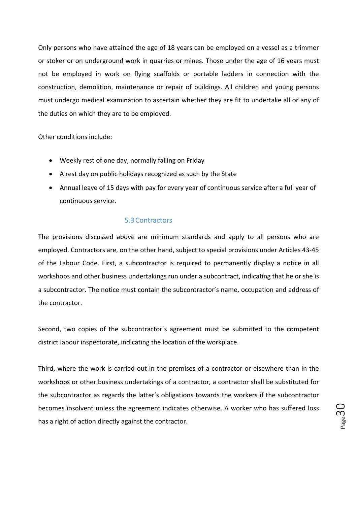Only persons who have attained the age of 18 years can be employed on a vessel as a trimmer or stoker or on underground work in quarries or mines. Those under the age of 16 years must not be employed in work on flying scaffolds or portable ladders in connection with the construction, demolition, maintenance or repair of buildings. All children and young persons must undergo medical examination to ascertain whether they are fit to undertake all or any of the duties on which they are to be employed.

Other conditions include:

- Weekly rest of one day, normally falling on Friday
- A rest day on public holidays recognized as such by the State
- Annual leave of 15 days with pay for every year of continuous service after a full year of continuous service.

#### 5.3Contractors

The provisions discussed above are minimum standards and apply to all persons who are employed. Contractors are, on the other hand, subject to special provisions under Articles 43-45 of the Labour Code. First, a subcontractor is required to permanently display a notice in all workshops and other business undertakings run under a subcontract, indicating that he or she is a subcontractor. The notice must contain the subcontractor's name, occupation and address of the contractor.

Second, two copies of the subcontractor's agreement must be submitted to the competent district labour inspectorate, indicating the location of the workplace.

Third, where the work is carried out in the premises of a contractor or elsewhere than in the workshops or other business undertakings of a contractor, a contractor shall be substituted for the subcontractor as regards the latter's obligations towards the workers if the subcontractor becomes insolvent unless the agreement indicates otherwise. A worker who has suffered loss has a right of action directly against the contractor.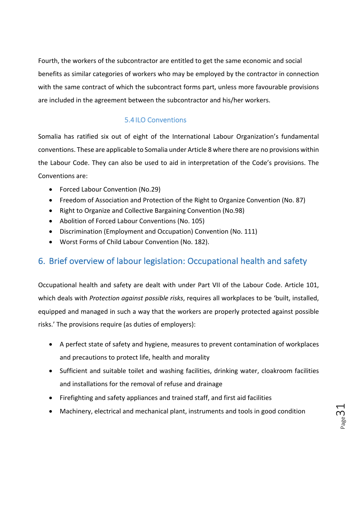Fourth, the workers of the subcontractor are entitled to get the same economic and social benefits as similar categories of workers who may be employed by the contractor in connection with the same contract of which the subcontract forms part, unless more favourable provisions are included in the agreement between the subcontractor and his/her workers.

#### 5.4 ILO Conventions

Somalia has ratified six out of eight of the International Labour Organization's fundamental conventions. These are applicable to Somalia under Article 8 where there are no provisions within the Labour Code. They can also be used to aid in interpretation of the Code's provisions. The Conventions are:

- Forced Labour Convention (No.29)
- Freedom of Association and Protection of the Right to Organize Convention (No. 87)
- Right to Organize and Collective Bargaining Convention (No.98)
- Abolition of Forced Labour Conventions (No. 105)
- Discrimination (Employment and Occupation) Convention (No. 111)
- Worst Forms of Child Labour Convention (No. 182).

## 6. Brief overview of labour legislation: Occupational health and safety

Occupational health and safety are dealt with under Part VII of the Labour Code. Article 101, which deals with *Protection against possible risks*, requires all workplaces to be 'built, installed, equipped and managed in such a way that the workers are properly protected against possible risks.' The provisions require (as duties of employers):

- A perfect state of safety and hygiene, measures to prevent contamination of workplaces and precautions to protect life, health and morality
- Sufficient and suitable toilet and washing facilities, drinking water, cloakroom facilities and installations for the removal of refuse and drainage
- Firefighting and safety appliances and trained staff, and first aid facilities
- Machinery, electrical and mechanical plant, instruments and tools in good condition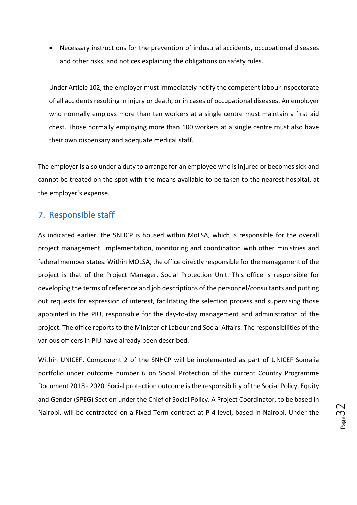• Necessary instructions for the prevention of industrial accidents, occupational diseases and other risks, and notices explaining the obligations on safety rules.

Under Article 102, the employer must immediately notify the competent labour inspectorate of all accidents resulting in injury or death, or in cases of occupational diseases. An employer who normally employs more than ten workers at a single centre must maintain a first aid chest. Those normally employing more than 100 workers at a single centre must also have their own dispensary and adequate medical staff.

The employer is also under a duty to arrange for an employee who is injured or becomes sick and cannot be treated on the spot with the means available to be taken to the nearest hospital, at the employer's expense.

#### 7. Responsible staff

As indicated earlier, the SNHCP is housed within MoLSA, which is responsible for the overall project management, implementation, monitoring and coordination with other ministries and federal member states. Within MOLSA, the office directly responsible for the management of the project is that of the Project Manager, Social Protection Unit. This office is responsible for developing the terms of reference and job descriptions of the personnel/consultants and putting out requests for expression of interest, facilitating the selection process and supervising those appointed in the PIU, responsible for the day-to-day management and administration of the project. The office reports to the Minister of Labour and Social Affairs. The responsibilities of the various officers in PIU have already been described.

Within UNICEF, Component 2 of the SNHCP will be implemented as part of UNICEF Somalia portfolio under outcome number 6 on Social Protection of the current Country Programme Document 2018 - 2020. Social protection outcome is the responsibility of the Social Policy, Equity and Gender (SPEG) Section under the Chief of Social Policy. A Project Coordinator, to be based in Nairobi, will be contracted on a Fixed Term contract at P-4 level, based in Nairobi. Under the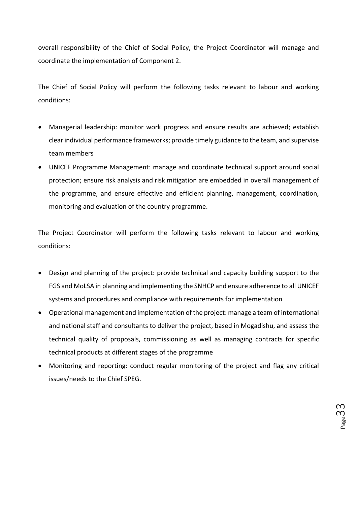overall responsibility of the Chief of Social Policy, the Project Coordinator will manage and coordinate the implementation of Component 2.

The Chief of Social Policy will perform the following tasks relevant to labour and working conditions:

- Managerial leadership: monitor work progress and ensure results are achieved; establish clear individual performance frameworks; provide timely guidance to the team, and supervise team members
- UNICEF Programme Management: manage and coordinate technical support around social protection; ensure risk analysis and risk mitigation are embedded in overall management of the programme, and ensure effective and efficient planning, management, coordination, monitoring and evaluation of the country programme.

The Project Coordinator will perform the following tasks relevant to labour and working conditions:

- Design and planning of the project: provide technical and capacity building support to the FGS and MoLSA in planning and implementing the SNHCP and ensure adherence to all UNICEF systems and procedures and compliance with requirements for implementation
- Operational management and implementation of the project: manage a team of international and national staff and consultants to deliver the project, based in Mogadishu, and assess the technical quality of proposals, commissioning as well as managing contracts for specific technical products at different stages of the programme
- Monitoring and reporting: conduct regular monitoring of the project and flag any critical issues/needs to the Chief SPEG.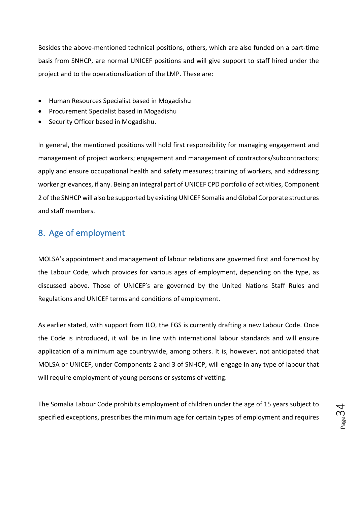Besides the above-mentioned technical positions, others, which are also funded on a part-time basis from SNHCP, are normal UNICEF positions and will give support to staff hired under the project and to the operationalization of the LMP. These are:

- Human Resources Specialist based in Mogadishu
- Procurement Specialist based in Mogadishu
- Security Officer based in Mogadishu.

In general, the mentioned positions will hold first responsibility for managing engagement and management of project workers; engagement and management of contractors/subcontractors; apply and ensure occupational health and safety measures; training of workers, and addressing worker grievances, if any. Being an integral part of UNICEF CPD portfolio of activities, Component 2 of the SNHCP will also be supported by existing UNICEF Somalia and Global Corporate structures and staff members.

### 8. Age of employment

MOLSA's appointment and management of labour relations are governed first and foremost by the Labour Code, which provides for various ages of employment, depending on the type, as discussed above. Those of UNICEF's are governed by the United Nations Staff Rules and Regulations and UNICEF terms and conditions of employment.

As earlier stated, with support from ILO, the FGS is currently drafting a new Labour Code. Once the Code is introduced, it will be in line with international labour standards and will ensure application of a minimum age countrywide, among others. It is, however, not anticipated that MOLSA or UNICEF, under Components 2 and 3 of SNHCP, will engage in any type of labour that will require employment of young persons or systems of vetting.

The Somalia Labour Code prohibits employment of children under the age of 15 years subject to specified exceptions, prescribes the minimum age for certain types of employment and requires

 $P_{\text{age}}$ 34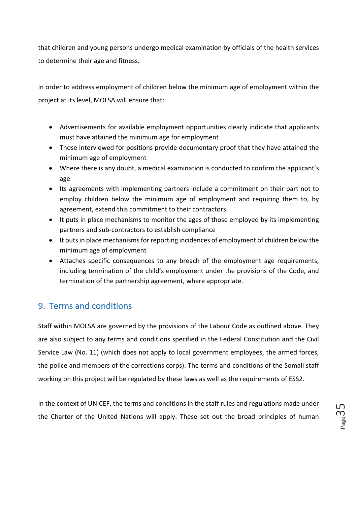that children and young persons undergo medical examination by officials of the health services to determine their age and fitness.

In order to address employment of children below the minimum age of employment within the project at its level, MOLSA will ensure that:

- Advertisements for available employment opportunities clearly indicate that applicants must have attained the minimum age for employment
- Those interviewed for positions provide documentary proof that they have attained the minimum age of employment
- Where there is any doubt, a medical examination is conducted to confirm the applicant's age
- Its agreements with implementing partners include a commitment on their part not to employ children below the minimum age of employment and requiring them to, by agreement, extend this commitment to their contractors
- It puts in place mechanisms to monitor the ages of those employed by its implementing partners and sub-contractors to establish compliance
- It puts in place mechanisms for reporting incidences of employment of children below the minimum age of employment
- Attaches specific consequences to any breach of the employment age requirements, including termination of the child's employment under the provisions of the Code, and termination of the partnership agreement, where appropriate.

# 9. Terms and conditions

Staff within MOLSA are governed by the provisions of the Labour Code as outlined above. They are also subject to any terms and conditions specified in the Federal Constitution and the Civil Service Law (No. 11) (which does not apply to local government employees, the armed forces, the police and members of the corrections corps). The terms and conditions of the Somali staff working on this project will be regulated by these laws as well as the requirements of ESS2.

In the context of UNICEF, the terms and conditions in the staff rules and regulations made under the Charter of the United Nations will apply. These set out the broad principles of human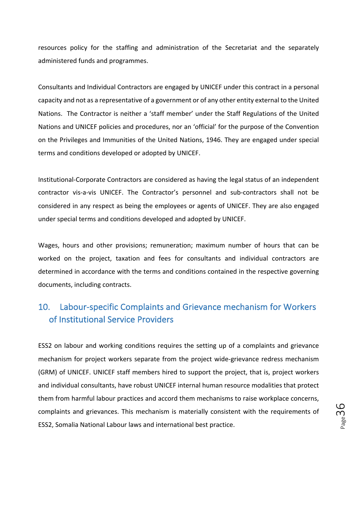resources policy for the staffing and administration of the Secretariat and the separately administered funds and programmes.

Consultants and Individual Contractors are engaged by UNICEF under this contract in a personal capacity and not as a representative of a government or of any other entity external to the United Nations. The Contractor is neither a 'staff member' under the Staff Regulations of the United Nations and UNICEF policies and procedures, nor an 'official' for the purpose of the Convention on the Privileges and Immunities of the United Nations, 1946. They are engaged under special terms and conditions developed or adopted by UNICEF.

Institutional-Corporate Contractors are considered as having the legal status of an independent contractor vis-a-vis UNICEF. The Contractor's personnel and sub-contractors shall not be considered in any respect as being the employees or agents of UNICEF. They are also engaged under special terms and conditions developed and adopted by UNICEF.

Wages, hours and other provisions; remuneration; maximum number of hours that can be worked on the project, taxation and fees for consultants and individual contractors are determined in accordance with the terms and conditions contained in the respective governing documents, including contracts.

# 10. Labour-specific Complaints and Grievance mechanism for Workers of Institutional Service Providers

ESS2 on labour and working conditions requires the setting up of a complaints and grievance mechanism for project workers separate from the project wide-grievance redress mechanism (GRM) of UNICEF. UNICEF staff members hired to support the project, that is, project workers and individual consultants, have robust UNICEF internal human resource modalities that protect them from harmful labour practices and accord them mechanisms to raise workplace concerns, complaints and grievances. This mechanism is materially consistent with the requirements of ESS2, Somalia National Labour laws and international best practice.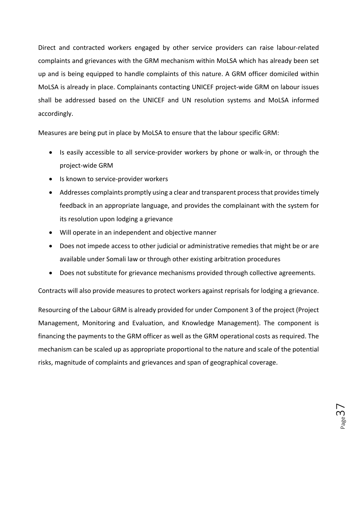Direct and contracted workers engaged by other service providers can raise labour-related complaints and grievances with the GRM mechanism within MoLSA which has already been set up and is being equipped to handle complaints of this nature. A GRM officer domiciled within MoLSA is already in place. Complainants contacting UNICEF project-wide GRM on labour issues shall be addressed based on the UNICEF and UN resolution systems and MoLSA informed accordingly. 

Measures are being put in place by MoLSA to ensure that the labour specific GRM:

- Is easily accessible to all service-provider workers by phone or walk-in, or through the project-wide GRM
- Is known to service-provider workers
- Addresses complaints promptly using a clear and transparent process that provides timely feedback in an appropriate language, and provides the complainant with the system for its resolution upon lodging a grievance
- Will operate in an independent and objective manner
- Does not impede access to other judicial or administrative remedies that might be or are available under Somali law or through other existing arbitration procedures
- Does not substitute for grievance mechanisms provided through collective agreements.

Contracts will also provide measures to protect workers against reprisals for lodging a grievance.

Resourcing of the Labour GRM is already provided for under Component 3 of the project (Project Management, Monitoring and Evaluation, and Knowledge Management). The component is financing the payments to the GRM officer as well as the GRM operational costs as required. The mechanism can be scaled up as appropriate proportional to the nature and scale of the potential risks, magnitude of complaints and grievances and span of geographical coverage.

Page37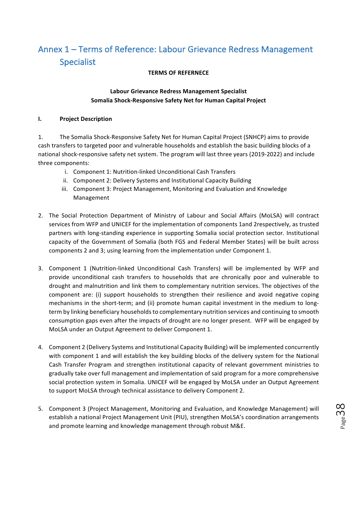# Annex 1 – Terms of Reference: Labour Grievance Redress Management Specialist

#### **TERMS OF REFERNECE**

#### **Labour Grievance Redress Management Specialist Somalia Shock-Responsive Safety Net for Human Capital Project**

#### **I.** Project Description

1. The Somalia Shock-Responsive Safety Net for Human Capital Project (SNHCP) aims to provide cash transfers to targeted poor and vulnerable households and establish the basic building blocks of a national shock-responsive safety net system. The program will last three years (2019-2022) and include three components:

- i. Component 1: Nutrition-linked Unconditional Cash Transfers
- ii. Component 2: Delivery Systems and Institutional Capacity Building
- iii. Component 3: Project Management, Monitoring and Evaluation and Knowledge Management
- 2. The Social Protection Department of Ministry of Labour and Social Affairs (MoLSA) will contract services from WFP and UNICEF for the implementation of components 1and 2respectively, as trusted partners with long-standing experience in supporting Somalia social protection sector. Institutional capacity of the Government of Somalia (both FGS and Federal Member States) will be built across components 2 and 3; using learning from the implementation under Component 1.
- 3. Component 1 (Nutrition-linked Unconditional Cash Transfers) will be implemented by WFP and provide unconditional cash transfers to households that are chronically poor and vulnerable to drought and malnutrition and link them to complementary nutrition services. The objectives of the component are: (i) support households to strengthen their resilience and avoid negative coping mechanisms in the short-term; and (ii) promote human capital investment in the medium to longterm by linking beneficiary households to complementary nutrition services and continuing to smooth consumption gaps even after the impacts of drought are no longer present. WFP will be engaged by MoLSA under an Output Agreement to deliver Component 1.
- 4. Component 2 (Delivery Systems and Institutional Capacity Building) will be implemented concurrently with component 1 and will establish the key building blocks of the delivery system for the National Cash Transfer Program and strengthen institutional capacity of relevant government ministries to gradually take over full management and implementation of said program for a more comprehensive social protection system in Somalia. UNICEF will be engaged by MoLSA under an Output Agreement to support MoLSA through technical assistance to delivery Component 2.
- 5. Component 3 (Project Management, Monitoring and Evaluation, and Knowledge Management) will establish a national Project Management Unit (PIU), strengthen MoLSA's coordination arrangements and promote learning and knowledge management through robust M&E.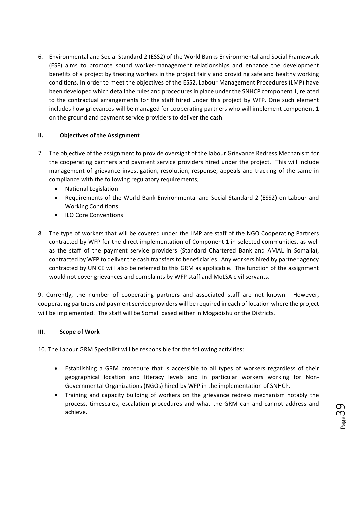6. Environmental and Social Standard 2 (ESS2) of the World Banks Environmental and Social Framework (ESF) aims to promote sound worker-management relationships and enhance the development benefits of a project by treating workers in the project fairly and providing safe and healthy working conditions. In order to meet the objectives of the ESS2, Labour Management Procedures (LMP) have been developed which detail the rules and procedures in place under the SNHCP component 1, related to the contractual arrangements for the staff hired under this project by WFP. One such element includes how grievances will be managed for cooperating partners who will implement component 1 on the ground and payment service providers to deliver the cash.

#### **II.** Objectives of the Assignment

- 7. The objective of the assignment to provide oversight of the labour Grievance Redress Mechanism for the cooperating partners and payment service providers hired under the project. This will include management of grievance investigation, resolution, response, appeals and tracking of the same in compliance with the following regulatory requirements;
	- National Legislation
	- Requirements of the World Bank Environmental and Social Standard 2 (ESS2) on Labour and **Working Conditions**
	- ILO Core Conventions
- 8. The type of workers that will be covered under the LMP are staff of the NGO Cooperating Partners contracted by WFP for the direct implementation of Component 1 in selected communities, as well as the staff of the payment service providers (Standard Chartered Bank and AMAL in Somalia), contracted by WFP to deliver the cash transfers to beneficiaries. Any workers hired by partner agency contracted by UNICE will also be referred to this GRM as applicable. The function of the assignment would not cover grievances and complaints by WFP staff and MoLSA civil servants.

9. Currently, the number of cooperating partners and associated staff are not known. However, cooperating partners and payment service providers will be required in each of location where the project will be implemented. The staff will be Somali based either in Mogadishu or the Districts.

#### **III. Scope of Work**

10. The Labour GRM Specialist will be responsible for the following activities:

- Establishing a GRM procedure that is accessible to all types of workers regardless of their geographical location and literacy levels and in particular workers working for Non-Governmental Organizations (NGOs) hired by WFP in the implementation of SNHCP.
- Training and capacity building of workers on the grievance redress mechanism notably the process, timescales, escalation procedures and what the GRM can and cannot address and achieve.

Page39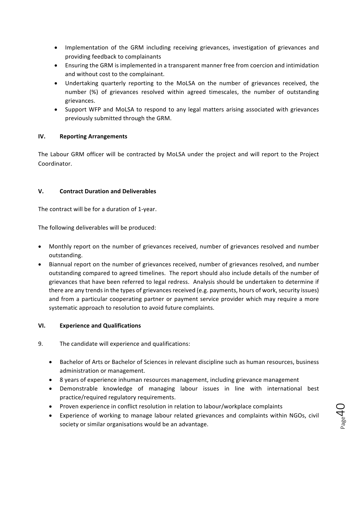- Implementation of the GRM including receiving grievances, investigation of grievances and providing feedback to complainants
- Ensuring the GRM is implemented in a transparent manner free from coercion and intimidation and without cost to the complainant.
- Undertaking quarterly reporting to the MoLSA on the number of grievances received, the number (%) of grievances resolved within agreed timescales, the number of outstanding grievances.
- Support WFP and MoLSA to respond to any legal matters arising associated with grievances previously submitted through the GRM.

#### **IV. Reporting Arrangements**

The Labour GRM officer will be contracted by MoLSA under the project and will report to the Project Coordinator. 

#### **V. Contract Duration and Deliverables**

The contract will be for a duration of 1-year.

The following deliverables will be produced:

- Monthly report on the number of grievances received, number of grievances resolved and number outstanding.
- Biannual report on the number of grievances received, number of grievances resolved, and number outstanding compared to agreed timelines. The report should also include details of the number of grievances that have been referred to legal redress. Analysis should be undertaken to determine if there are any trends in the types of grievances received (e.g. payments, hours of work, security issues) and from a particular cooperating partner or payment service provider which may require a more systematic approach to resolution to avoid future complaints.

#### **VI. Experience and Qualifications**

- 9. The candidate will experience and qualifications:
	- Bachelor of Arts or Bachelor of Sciences in relevant discipline such as human resources, business administration or management.
	- 8 years of experience inhuman resources management, including grievance management
	- Demonstrable knowledge of managing labour issues in line with international best practice/required regulatory requirements.
	- Proven experience in conflict resolution in relation to labour/workplace complaints
	- Experience of working to manage labour related grievances and complaints within NGOs, civil society or similar organisations would be an advantage.

 $\rho_{\text{age}}$ 40